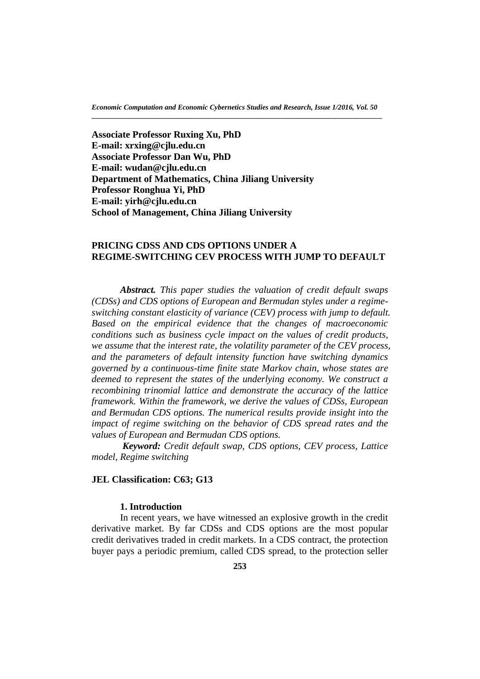**Associate Professor Ruxing Xu, PhD E-mail: xrxing@cjlu.edu.cn Associate Professor Dan Wu, PhD E-mail: [wudan@cjlu.edu.cn](mailto:wudan@cjlu.edu.cn) Department of Mathematics, China Jiliang University Professor Ronghua Yi, PhD E-mail: [yirh@cjlu.edu.cn](mailto:yirh@cjlu.edu.cn) School of Management, China Jiliang University**

## **PRICING CDSS AND CDS OPTIONS UNDER A REGIME-SWITCHING CEV PROCESS WITH JUMP TO DEFAULT**

*Abstract. This paper studies the valuation of credit default swaps (CDSs) and CDS options of European and Bermudan styles under a regimeswitching constant elasticity of variance (CEV) process with jump to default. Based on the empirical evidence that the changes of macroeconomic conditions such as business cycle impact on the values of credit products, we assume that the interest rate, the volatility parameter of the CEV process, and the parameters of default intensity function have switching dynamics governed by a continuous-time finite state Markov chain, whose states are deemed to represent the states of the underlying economy. We construct a recombining trinomial lattice and demonstrate the accuracy of the lattice framework. Within the framework, we derive the values of CDSs, European and Bermudan CDS options. The numerical results provide insight into the impact of regime switching on the behavior of CDS spread rates and the values of European and Bermudan CDS options.*

*Keyword: Credit default swap, CDS options, CEV process, Lattice model, Regime switching*

#### **JEL Classification: C63; G13**

### **1. Introduction**

In recent years, we have witnessed an explosive growth in the credit derivative market. By far CDSs and CDS options are the most popular credit derivatives traded in credit markets. In a CDS contract, the protection buyer pays a periodic premium, called CDS spread, to the protection seller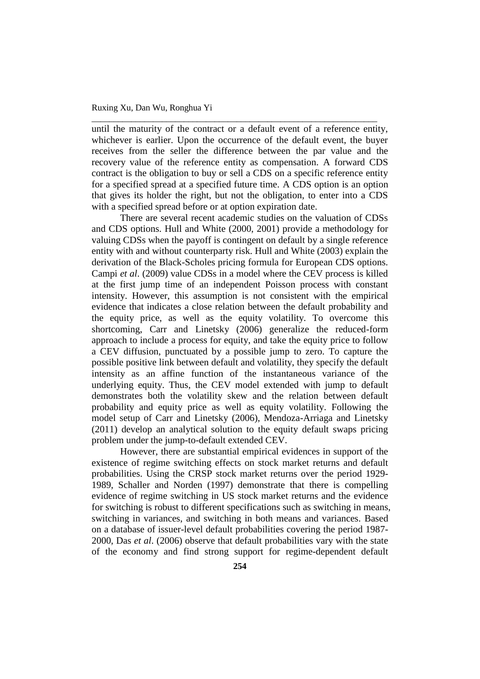until the maturity of the contract or a default event of a reference entity, whichever is earlier. Upon the occurrence of the default event, the buyer receives from the seller the difference between the par value and the recovery value of the reference entity as compensation. A forward CDS contract is the obligation to buy or sell a CDS on a specific reference entity for a specified spread at a specified future time. A CDS option is an option that gives its holder the right, but not the obligation, to enter into a CDS with a specified spread before or at option expiration date.

\_\_\_\_\_\_\_\_\_\_\_\_\_\_\_\_\_\_\_\_\_\_\_\_\_\_\_\_\_\_\_\_\_\_\_\_\_\_\_\_\_\_\_\_\_\_\_\_\_\_\_\_\_\_\_\_\_\_\_\_\_\_\_\_\_

There are several recent academic studies on the valuation of CDSs and CDS options. Hull and White (2000, 2001) provide a methodology for valuing CDSs when the payoff is contingent on default by a single reference entity with and without counterparty risk. Hull and White (2003) explain the derivation of the Black-Scholes pricing formula for European CDS options. Campi *et al*. (2009) value CDSs in a model where the CEV process is killed at the first jump time of an independent Poisson process with constant intensity. However, this assumption is not consistent with the empirical evidence that indicates a close relation between the default probability and the equity price, as well as the equity volatility. To overcome this shortcoming, Carr and Linetsky (2006) generalize the reduced-form approach to include a process for equity, and take the equity price to follow a CEV diffusion, punctuated by a possible jump to zero. To capture the possible positive link between default and volatility, they specify the default intensity as an affine function of the instantaneous variance of the underlying equity. Thus, the CEV model extended with jump to default demonstrates both the volatility skew and the relation between default probability and equity price as well as equity volatility. Following the model setup of Carr and Linetsky (2006), Mendoza-Arriaga and Linetsky (2011) develop an analytical solution to the equity default swaps pricing problem under the jump-to-default extended CEV.

However, there are substantial empirical evidences in support of the existence of regime switching effects on stock market returns and default probabilities. Using the CRSP stock market returns over the period 1929- 1989, Schaller and Norden (1997) demonstrate that there is compelling evidence of regime switching in US stock market returns and the evidence for switching is robust to different specifications such as switching in means, switching in variances, and switching in both means and variances. Based on a database of issuer-level default probabilities covering the period 1987- 2000, Das *et al*. (2006) observe that default probabilities vary with the state of the economy and find strong support for regime-dependent default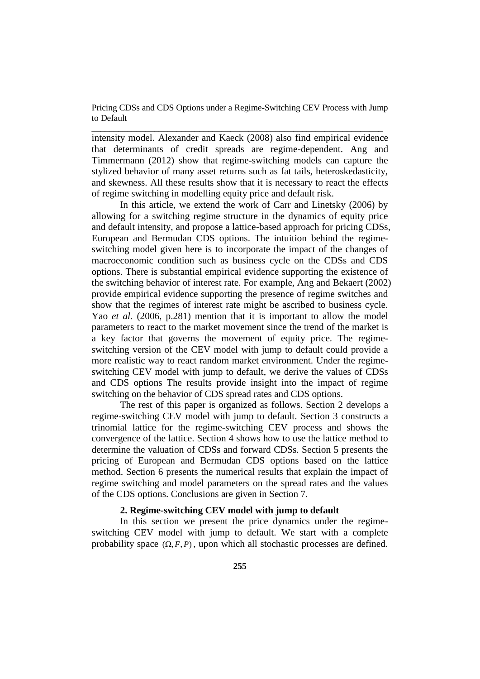\_\_\_\_\_\_\_\_\_\_\_\_\_\_\_\_\_\_\_\_\_\_\_\_\_\_\_\_\_\_\_\_\_\_\_\_\_\_\_\_\_\_\_\_\_\_\_\_\_\_\_\_\_\_\_\_\_\_\_\_\_\_\_\_\_

intensity model. Alexander and Kaeck (2008) also find empirical evidence that determinants of credit spreads are regime-dependent. Ang and Timmermann (2012) show that regime-switching models can capture the stylized behavior of many asset returns such as fat tails, heteroskedasticity, and skewness. All these results show that it is necessary to react the effects of regime switching in modelling equity price and default risk.

In this article, we extend the work of Carr and Linetsky (2006) by allowing for a switching regime structure in the dynamics of equity price and default intensity, and propose a lattice-based approach for pricing CDSs, European and Bermudan CDS options. The intuition behind the regimeswitching model given here is to incorporate the impact of the changes of macroeconomic condition such as business cycle on the CDSs and CDS options. There is substantial empirical evidence supporting the existence of the switching behavior of interest rate. For example, Ang and Bekaert (2002) provide empirical evidence supporting the presence of regime switches and show that the regimes of interest rate might be ascribed to business cycle. Yao *et al.* (2006, p.281) mention that it is important to allow the model parameters to react to the market movement since the trend of the market is a key factor that governs the movement of equity price. The regimeswitching version of the CEV model with jump to default could provide a more realistic way to react random market environment. Under the regimeswitching CEV model with jump to default, we derive the values of CDSs and CDS options The results provide insight into the impact of regime switching on the behavior of CDS spread rates and CDS options.

The rest of this paper is organized as follows. Section 2 develops a regime-switching CEV model with jump to default. Section 3 constructs a trinomial lattice for the regime-switching CEV process and shows the convergence of the lattice. Section 4 shows how to use the lattice method to determine the valuation of CDSs and forward CDSs. Section 5 presents the pricing of European and Bermudan CDS options based on the lattice method. Section 6 presents the numerical results that explain the impact of regime switching and model parameters on the spread rates and the values of the CDS options. Conclusions are given in Section 7.

# **2. Regime-switching CEV model with jump to default**

In this section we present the price dynamics under the regimeswitching CEV model with jump to default. We start with a complete probability space  $(\Omega, F, P)$ , upon which all stochastic processes are defined.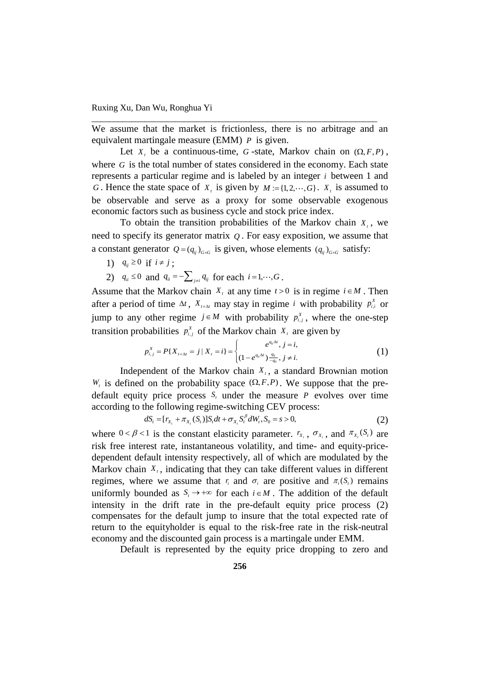We assume that the market is frictionless, there is no arbitrage and an equivalent martingale measure (EMM) *P* is given.

\_\_\_\_\_\_\_\_\_\_\_\_\_\_\_\_\_\_\_\_\_\_\_\_\_\_\_\_\_\_\_\_\_\_\_\_\_\_\_\_\_\_\_\_\_\_\_\_\_\_\_\_\_\_\_\_\_\_\_\_\_\_\_\_\_

Let  $X_t$ , be a continuous-time, G-state, Markov chain on  $(\Omega, F, P)$ , where  $G$  is the total number of states considered in the economy. Each state represents a particular regime and is labeled by an integer *i* between 1 and *G*. Hence the state space of  $X_t$  is given by  $M := \{1, 2, \dots, G\}$ .  $X_t$  is assumed to be observable and serve as a proxy for some observable exogenous economic factors such as business cycle and stock price index.

To obtain the transition probabilities of the Markov chain  $X_t$ , we need to specify its generator matrix *Q* . For easy exposition, we assume that a constant generator  $Q = (q_{ij})_{G \times G}$  is given, whose elements  $(q_{ij})_{G \times G}$  satisfy:

- 1)  $q_{ij} \ge 0$  if  $i \ne j$ ;
- 2)  $q_{ii} \le 0$  and  $q_{ii} = -\sum_{j \ne i} q_{ij}$  for each  $i = 1, \dots, G$ .

Assume that the Markov chain  $X_t$  at any time  $t > 0$  is in regime  $i \in M$ . Then after a period of time  $\Delta t$ ,  $X_{t+\Delta t}$  may stay in regime *i* with probability  $p_{i,i}^X$  or jump to any other regime  $j \in M$  with probability  $p_{i,j}^X$ , where the one-step transition probabilities  $p_{i,j}^X$  of the Markov chain  $X_i$  are given by

$$
\begin{aligned} \text{babilities} \ \ p_{i,j}^x \ \text{of the Markov chain} \ \ X_i \ \text{are given by} \\ p_{i,j}^x &= P\{X_{t+\Delta t} = j \,|\, X_t = i\} = \begin{cases} e^{q_{ii}\Delta t}, & j = i, \\ (1 - e^{q_{ii}\Delta t}) \frac{q_{ij}}{-q_{ii}}, & j \neq i. \end{cases} \end{aligned} \tag{1}
$$

Independent of the Markov chain  $X_t$ , a standard Brownian motion  $W_t$  is defined on the probability space  $(\Omega, F, P)$ . We suppose that the predefault equity price process  $S_t$  under the measure  $P$  evolves over time according to the following regime-switching CEV process:<br>  $dS_t = [r_{x_t} + \pi_{x_t}(S_t)]S_t dt + \sigma_{x_t} S_t^{\beta} dW_t, S_0 = s > 0,$  (2)

$$
dS_t = [r_{X_t} + \pi_{X_t}(S_t)]S_t dt + \sigma_{X_t} S_t^{\beta} dW_t, S_0 = s > 0,
$$
\n(2)

where  $0 < \beta < 1$  is the constant elasticity parameter.  $r_{x_t}$ ,  $\sigma_{x_t}$ , and  $\pi_{x_t}(S_t)$  are risk free interest rate, instantaneous volatility, and time- and equity-pricedependent default intensity respectively, all of which are modulated by the Markov chain  $X_t$ , indicating that they can take different values in different regimes, where we assume that  $r_i$  and  $\sigma_i$  are positive and  $\pi_i(S_i)$  remains uniformly bounded as  $S_i \to +\infty$  for each  $i \in M$ . The addition of the default intensity in the drift rate in the pre-default equity price process (2) compensates for the default jump to insure that the total expected rate of return to the equityholder is equal to the risk-free rate in the risk-neutral economy and the discounted gain process is a martingale under EMM.

Default is represented by the equity price dropping to zero and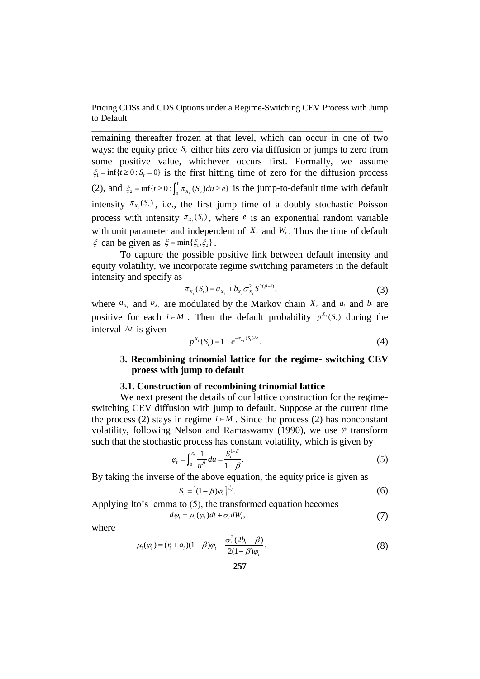remaining thereafter frozen at that level, which can occur in one of two ways: the equity price  $S_t$  either hits zero via diffusion or jumps to zero from some positive value, whichever occurs first. Formally, we assume  $\xi_1 = \inf\{t \geq 0 : S_t = 0\}$  is the first hitting time of zero for the diffusion process (2), and  $\xi_2 = \inf\{t \ge 0 : \int_0^t \pi_{X_u}(S_u) du \ge e\}$  $\xi_2 = \inf\{t \geq 0 : \int_0^t \pi_{x_u}(S_u) du \geq e\}$  is the jump-to-default time with default intensity  $\pi_{X_t}(S_t)$ , i.e., the first jump time of a doubly stochastic Poisson process with intensity  $\pi_{X_t}(S_t)$ , where *e* is an exponential random variable with unit parameter and independent of  $X_t$  and  $W_t$ . Thus the time of default  $\xi$  can be given as  $\xi = \min\{\xi_1, \xi_2\}$ .

To capture the possible positive link between default intensity and equity volatility, we incorporate regime switching parameters in the default intensity and specify as

$$
\pi_{X_t}(S_t) = a_{X_t} + b_{X_t} \sigma_{X_t}^2 S^{2(\beta - 1)},
$$
\n(3)

where  $a_{x_i}$  and  $b_{x_i}$  are modulated by the Markov chain  $X_t$  and  $a_i$  and  $b_i$  are positive for each  $i \in M$ . Then the default probability  $p^{X_i}(S_i)$  during the interval  $\Delta t$  is given

$$
p^{X_t}(S_t) = 1 - e^{-\pi_{X_t}(S_t)\Delta t}.
$$
\n(4)

# **3. Recombining trinomial lattice for the regime- switching CEV proess with jump to default**

#### **3.1. Construction of recombining trinomial lattice**

We next present the details of our lattice construction for the regimeswitching CEV diffusion with jump to default. Suppose at the current time the process (2) stays in regime  $i \in M$ . Since the process (2) has nonconstant volatility, following Nelson and Ramaswamy (1990), we use  $\varphi$  transform such that the stochastic process has constant volatility, which is given by

$$
\varphi_t = \int_0^{S_t} \frac{1}{u^{\beta}} du = \frac{S_t^{1-\beta}}{1-\beta}.
$$
\n(5)

By taking the inverse of the above equation, the equity price is given as

$$
S_t = \left[ (1 - \beta) \varphi_t \right]_{t=\beta}^{1-\beta}.
$$
\n
$$
(6)
$$

Applying Ito's lemma to (5), the transformed equation becomes  $d\varphi_t = \mu_i(\varphi_t)dt + \sigma_i dW_t,$  (7)

where

$$
\mu_i(\varphi_t) = (r_i + a_i)(1 - \beta)\varphi_t + \frac{\sigma_i^2(2b_i - \beta)}{2(1 - \beta)\varphi_t}.
$$
\n(8)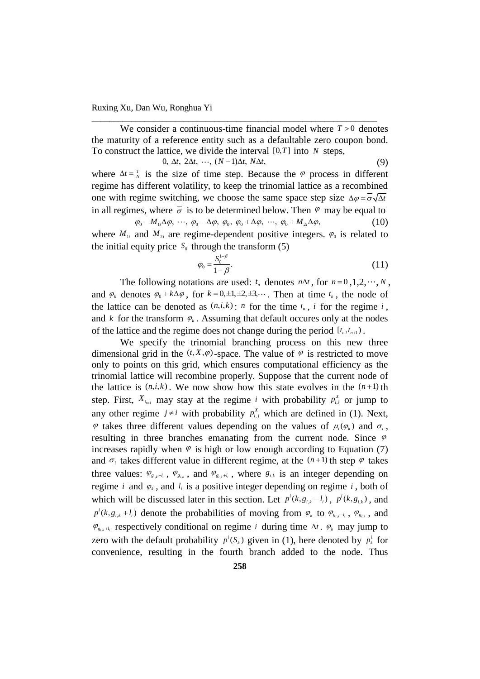We consider a continuous-time financial model where  $T > 0$  denotes the maturity of a reference entity such as a defaultable zero coupon bond. To construct the lattice, we divide the interval  $[0, T]$  into *N* steps,<br>0,  $\Delta t$ ,  $2\Delta t$ ,  $\cdots$ ,  $(N-1)\Delta t$ ,  $N\Delta t$ , (9)

\_\_\_\_\_\_\_\_\_\_\_\_\_\_\_\_\_\_\_\_\_\_\_\_\_\_\_\_\_\_\_\_\_\_\_\_\_\_\_\_\_\_\_\_\_\_\_\_\_\_\_\_\_\_\_\_\_\_\_\_\_\_\_\_\_

$$
0, \Delta t, 2\Delta t, \cdots, (N-1)\Delta t, N\Delta t,
$$
\n<sup>(9)</sup>

where  $\Delta t = \frac{T}{N}$  is the size of time step. Because the  $\varphi$  process in different regime has different volatility, to keep the trinomial lattice as a recombined one with regime switching, we choose the same space step size  $\Delta \varphi = \overline{\sigma} \sqrt{\Delta t}$ in all regimes, where  $\overline{\sigma}$  is to be determined below. Then  $\varphi$  may be equal to  $\varphi_0 - M_{1i} \Delta \varphi$ , ...,  $\varphi_0 - \Delta \varphi$ ,  $\varphi_0$ ,  $\varphi_0 + \Delta \varphi$ , ...,  $\varphi_0 + M_{2i} \Delta \varphi$ , (10)

where  $M_{1i}$  and  $M_{2i}$  are regime-dependent positive integers.  $\varphi_0$  is related to the initial equity price  $S_0$  through the transform (5)

$$
\varphi_0 = \frac{S_0^{1-\beta}}{1-\beta}.\tag{11}
$$

The following notations are used:  $t_n$  denotes  $n\Delta t$ , for  $n=0,1,2,\dots,N$ , and  $\varphi_k$  denotes  $\varphi_0 + k\Delta\varphi$ , for  $k = 0, \pm 1, \pm 2, \pm 3, \cdots$ . Then at time  $t_n$ , the node of the lattice can be denoted as  $(n,i,k)$ : *n* for the time  $t_n$ , *i* for the regime *i*, and  $k$  for the transform  $\varphi_k$ . Assuming that default occures only at the nodes of the lattice and the regime does not change during the period  $[t_n, t_{n+1})$ .

We specify the trinomial branching process on this new three dimensional grid in the  $(t, X, \varphi)$ -space. The value of  $\varphi$  is restricted to move only to points on this grid, which ensures computational efficiency as the trinomial lattice will recombine properly. Suppose that the current node of the lattice is  $(n,i,k)$ . We now show how this state evolves in the  $(n+1)$  th step. First,  $X_{t_{n+1}}$  may stay at the regime *i* with probability  $p_{i,i}^X$  or jump to any other regime  $j \neq i$  with probability  $p_{i,j}^X$  which are defined in (1). Next,  $\varphi$  takes three different values depending on the values of  $\mu_i(\varphi_k)$  and  $\sigma_i$ , resulting in three branches emanating from the current node. Since  $\varphi$ increases rapidly when  $\varphi$  is high or low enough according to Equation (7) and  $\sigma_i$  takes different value in different regime, at the  $(n+1)$  th step  $\varphi$  takes three values:  $\varphi_{g_{i,k}-l_i}$ ,  $\varphi_{g_{i,k}}$ , and  $\varphi_{g_{i,k}+l_i}$ , where  $g_{i,k}$  is an integer depending on regime *i* and  $\varphi_k$ , and  $l_i$  is a positive integer depending on regime *i*, both of which will be discussed later in this section. Let  $p^{i}(k, g_{i,k} - l_{i})$ ,  $p^{i}(k, g_{i,k})$ , and  $p^{i}(k, g_{i,k} + l_i)$  denote the probabilities of moving from  $\varphi_k$  to  $\varphi_{g_{i,k} - l_i}$ ,  $\varphi_{g_{i,k}}$ , and  $\varphi_{g_{i,k}+l_i}$  respectively conditional on regime *i* during time  $\Delta t$ .  $\varphi_k$  may jump to zero with the default probability  $p^{i}(S_{k})$  given in (1), here denoted by  $p_{k}^{i}$  for convenience, resulting in the fourth branch added to the node. Thus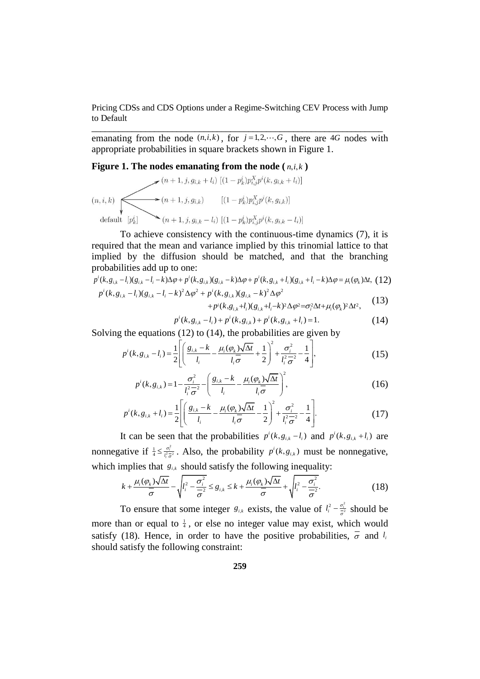emanating from the node  $(n, i, k)$ , for  $j = 1, 2, \dots, G$ , there are 4*G* nodes with appropriate probabilities in square brackets shown in Figure 1.

### Figure 1. The nodes emanating from the node  $(n,i,k)$

$$
(n, i, k)
$$
\n
$$
(n, i, k)
$$
\n
$$
(n + 1, j, g_{i,k} + l_i) [(1 - p_k^i) p_{i,j}^X p^i(k, g_{i,k} + l_i)]
$$
\n
$$
(n + 1, j, g_{i,k}) [(1 - p_k^i) p_{i,j}^X p^i(k, g_{i,k})]
$$
\n
$$
(n + 1, j, g_{i,k} - l_i) [(1 - p_k^i) p_{i,j}^X p^i(k, g_{i,k} - l_i)]
$$

To achieve consistency with the continuous-time dynamics (7), it is required that the mean and variance implied by this trinomial lattice to that implied by the diffusion should be matched, and that the branching probabilities add up to one:<br>  $p^{i}(k, g_{i,k} - l_{i})(g_{i,k} - l_{i} - k)\Delta\varphi + p^{i}(k, g_{i,k})(g_{i,k} - k)\Delta\varphi + p^{i}(k, g_{i,k} + l_{i})(g_{i,k} + l_{i} - k)\Delta\varphi = \mu_{i}(\varphi_{k})\Delta t$ , (12) probabilities add up to one:

probabilities add up to one:  
\n
$$
p^{i}(k, g_{i,k} - l_{i})(g_{i,k} - l_{i} - k)\Delta\varphi + p^{i}(k, g_{i,k})(g_{i,k} - k)\Delta\varphi + p^{i}(k, g_{i,k} + l_{i})(g_{i,k} + l_{i} - k)\Delta\varphi = \mu_{i}(\varphi_{k})\Delta t, (12)
$$
\n
$$
p^{i}(k, g_{i,k} - l_{i})(g_{i,k} - l_{i} - k)^{2}\Delta\varphi^{2} + p^{i}(k, g_{i,k})(g_{i,k} - k)^{2}\Delta\varphi^{2} + p^{i}(k, g_{i,k} + l_{i} - k)^{2}\Delta\varphi^{2} = \sigma_{i}^{2}\Delta t + \mu_{i}(\varphi_{k})^{2}\Delta t^{2}, (13)
$$

+ 
$$
p^{i}(k, g_{i,k})(g_{i,k} - k)^{2} \Delta \varphi^{2}
$$
  
+  $p^{i}(k, g_{i,k} + l_{i})(g_{i,k} + l_{i} - k)^{2} \Delta \varphi^{2} = \sigma_{i}^{2} \Delta t + \mu_{i}(\varphi_{k})^{2} \Delta t^{2}$ , (13)

+
$$
p^{i}(k, g_{i,k}+l_{i})(g_{i,k}+l_{i}-k)^{2}\Delta\varphi^{2}=\sigma_{i}^{2}\Delta t+\mu_{i}(\varphi_{k})^{2}\Delta t^{2},
$$
  
\n $p^{i}(k, g_{i,k}-l_{i})+p^{i}(k, g_{i,k})+p^{i}(k, g_{i,k}+l_{i})=1.$  (14)

Solving the equations (12) to (14), the probabilities are given by  
\n
$$
p^{i}(k, g_{i,k} - l_{i}) = \frac{1}{2} \left[ \left( \frac{g_{i,k} - k}{l_{i}} - \frac{\mu_{i}(\varphi_{k})\sqrt{\Delta t}}{l_{i}\sigma} + \frac{1}{2} \right)^{2} + \frac{\sigma_{i}^{2}}{l_{i}^{2} \sigma^{2}} - \frac{1}{4} \right],
$$
\n(15)

$$
p^{i}(k, g_{i,k}) = 1 - \frac{\sigma_{i}^{2}}{l_{i}^{2} \sigma^{2}} - \left(\frac{g_{i,k} - k}{l_{i}} - \frac{\mu_{i}(\varphi_{k})\sqrt{\Delta t}}{l_{i} \sigma}\right)^{2},
$$
\n
$$
p^{i}(k, g_{i,k}) = \frac{1}{l_{i}^{2} \sigma^{2}} - \left(\frac{g_{i,k} - k}{l_{i}} - \frac{\mu_{i}(\varphi_{k})\sqrt{\Delta t}}{l_{i} \sigma}\right)^{2},
$$
\n
$$
p^{i}(k, g_{i,k}) = \frac{1}{l_{i}^{2} \sigma^{2}} - \left(\frac{g_{i,k} - k}{l_{i}} - \frac{\mu_{i}(\varphi_{k})\sqrt{\Delta t}}{l_{i} \sigma}\right)^{2} + \frac{\sigma_{i}^{2}}{l_{i} \sigma^{2}} - \frac{1}{l_{i}^{2}}.
$$
\n(17)

$$
l_i^2 \overline{\sigma}^2 \left( l_i \over l_i \sigma \right)^2
$$
  

$$
p^i(k, g_{i,k} + l_i) = \frac{1}{2} \left[ \left( \frac{g_{i,k} - k}{l_i} - \frac{\mu_i(\varphi_k) \sqrt{\Delta t}}{l_i \overline{\sigma}} - \frac{1}{2} \right)^2 + \frac{\sigma_i^2}{l_i^2 \overline{\sigma}^2} - \frac{1}{4} \right].
$$
 (17)

It can be seen that the probabilities  $p^{i}(k, g_{i,k} - l_i)$  and  $p^{i}(k, g_{i,k} + l_i)$  are nonnegative if  $\frac{1}{4} \leq \frac{\sigma_i^2}{l^2}$  $\frac{1}{4} \leq \frac{\sigma_i^2}{l^2 \pi^2}$  $\frac{\sigma}{l_i^2}$  $\leq \frac{\sigma_i^2}{l_i^2 \sigma_i^2}$ . Also, the probability  $p^i(k, g_{i,k})$  must be nonnegative,

which implies that 
$$
g_{i,k}
$$
 should satisfy the following inequality:  
\n
$$
k + \frac{\mu_i(\varphi_k)\sqrt{\Delta t}}{\overline{\sigma}} - \sqrt{l_i^2 - \frac{\sigma_i^2}{\overline{\sigma}^2}} \le g_{i,k} \le k + \frac{\mu_i(\varphi_k)\sqrt{\Delta t}}{\overline{\sigma}} + \sqrt{l_i^2 - \frac{\sigma_i^2}{\overline{\sigma}^2}}.
$$
\n(18)

To ensure that some integer  $g_{i,k}$  exists, the value of  $l_i^2 - \frac{\sigma_i^2}{\sigma_i^2}$  $l_i^2 - \frac{\sigma_i^2}{2}$  $-\frac{\sigma_i^2}{\sigma^2}$  should be more than or equal to  $\frac{1}{4}$ , or else no integer value may exist, which would satisfy (18). Hence, in order to have the positive probabilities,  $\overline{\sigma}$  and  $l_i$ should satisfy the following constraint: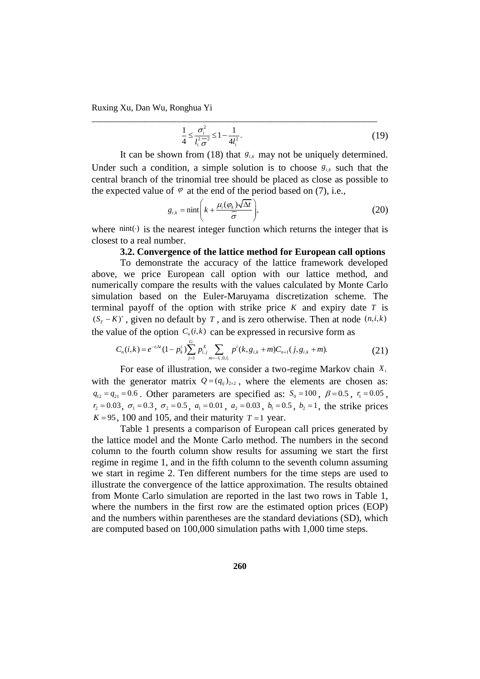$$
\frac{1}{4} \le \frac{\sigma_i^2}{l_i^2 \overline{\sigma}^2} \le 1 - \frac{1}{4l_i^2}.
$$
\n(19)

It can be shown from (18) that  $g_{i,k}$  may not be uniquely determined. Under such a condition, a simple solution is to choose  $g_{i,k}$  such that the central branch of the trinomial tree should be placed as close as possible to the expected value of  $\varphi$  at the end of the period based on (7), i.e.,

\_\_\_\_\_\_\_\_\_\_\_\_\_\_\_\_\_\_\_\_\_\_\_\_\_\_\_\_\_\_\_\_\_\_\_\_\_\_\_\_\_\_\_\_\_\_\_\_\_\_\_\_\_\_\_\_\_\_\_\_\_\_\_\_\_

$$
g_{i,k} = \min\left(k + \frac{\mu_i(\varphi_k)\sqrt{\Delta t}}{\overline{\sigma}}\right),\tag{20}
$$

where  $nint(\cdot)$  is the nearest integer function which returns the integer that is closest to a real number.

# **3.2. Convergence of the lattice method for European call options**

To demonstrate the accuracy of the lattice framework developed above, we price European call option with our lattice method, and numerically compare the results with the values calculated by Monte Carlo simulation based on the Euler-Maruyama discretization scheme. The terminal payoff of the option with strike price  $K$  and expiry date  $T$  is  $(S_T - K)^+$ , given no default by *T*, and is zero otherwise. Then at node  $(n, i, k)$ <br>the value of the option  $C_n(i, k)$  can be expressed in recursive form as<br> $C_n(i, k) = e^{-r/n} (1 - p_k^i) \sum_{j=1}^G p_{i,j}^X \sum_{m=-i,j,0,l} p^i(k, g_{i,k} + m) C_{n+1}(j, g$ 

the value of the option 
$$
C_n(i,k)
$$
 can be expressed in recursive form as  
\n
$$
C_n(i,k) = e^{-r_i\Delta t} (1 - p_k^i) \sum_{j=1}^G p_{i,j}^X \sum_{m=-l_j,0,l_j} p^i(k, g_{i,k} + m) C_{n+1}(j, g_{i,k} + m). \tag{21}
$$

For ease of illustration, we consider a two-regime Markov chain *Xt* with the generator matrix  $Q = (q_{ij})_{2 \times 2}$ , where the elements are chosen as:  $q_{12} = q_{21} = 0.6$ . Other parameters are specified as:  $S_0 = 100$ ,  $\beta = 0.5$ ,  $r_1 = 0.05$ ,  $r_2 = 0.03$ ,  $\sigma_1 = 0.3$ ,  $\sigma_2 = 0.5$ ,  $a_1 = 0.01$ ,  $a_2 = 0.03$ ,  $b_1 = 0.5$ ,  $b_2 = 1$ , the strike prices  $K = 95$ , 100 and 105, and their maturity  $T = 1$  year.

Table 1 presents a comparison of European call prices generated by the lattice model and the Monte Carlo method. The numbers in the second column to the fourth column show results for assuming we start the first regime in regime 1, and in the fifth column to the seventh column assuming we start in regime 2. Ten different numbers for the time steps are used to illustrate the convergence of the lattice approximation. The results obtained from Monte Carlo simulation are reported in the last two rows in Table 1, where the numbers in the first row are the estimated option prices (EOP) and the numbers within parentheses are the standard deviations (SD), which are computed based on 100,000 simulation paths with 1,000 time steps.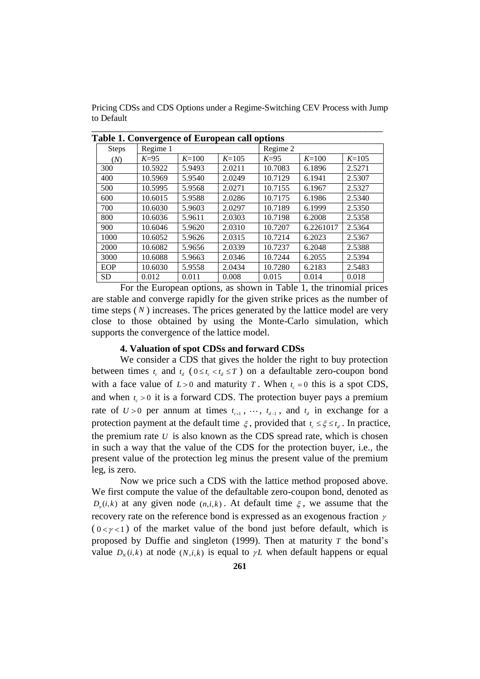Pricing CDSs and CDS Options under a Regime-Switching CEV Process with Jump to Default

\_\_\_\_\_\_\_\_\_\_\_\_\_\_\_\_\_\_\_\_\_\_\_\_\_\_\_\_\_\_\_\_\_\_\_\_\_\_\_\_\_\_\_\_\_\_\_\_\_\_\_\_\_\_\_\_\_\_\_\_\_\_\_\_\_

| Table 1. Convergence of European call options |          |           |         |          |           |           |
|-----------------------------------------------|----------|-----------|---------|----------|-----------|-----------|
| <b>Steps</b>                                  | Regime 1 |           |         | Regime 2 |           |           |
| (N)                                           | $K=95$   | $K = 100$ | $K=105$ | $K=95$   | $K=100$   | $K = 105$ |
| 300                                           | 10.5922  | 5.9493    | 2.0211  | 10.7083  | 6.1896    | 2.5271    |
| 400                                           | 10.5969  | 5.9540    | 2.0249  | 10.7129  | 6.1941    | 2.5307    |
| 500                                           | 10.5995  | 5.9568    | 2.0271  | 10.7155  | 6.1967    | 2.5327    |
| 600                                           | 10.6015  | 5.9588    | 2.0286  | 10.7175  | 6.1986    | 2.5340    |
| 700                                           | 10.6030  | 5.9603    | 2.0297  | 10.7189  | 6.1999    | 2.5350    |
| 800                                           | 10.6036  | 5.9611    | 2.0303  | 10.7198  | 6.2008    | 2.5358    |
| 900                                           | 10.6046  | 5.9620    | 2.0310  | 10.7207  | 6.2261017 | 2.5364    |
| 1000                                          | 10.6052  | 5.9626    | 2.0315  | 10.7214  | 6.2023    | 2.5367    |
| 2000                                          | 10.6082  | 5.9656    | 2.0339  | 10.7237  | 6.2048    | 2.5388    |
| 3000                                          | 10.6088  | 5.9663    | 2.0346  | 10.7244  | 6.2055    | 2.5394    |
| EOP                                           | 10.6030  | 5.9558    | 2.0434  | 10.7280  | 6.2183    | 2.5483    |
| <b>SD</b>                                     | 0.012    | 0.011     | 0.008   | 0.015    | 0.014     | 0.018     |

For the European options, as shown in Table 1, the trinomial prices are stable and converge rapidly for the given strike prices as the number of time steps  $(N)$  increases. The prices generated by the lattice model are very close to those obtained by using the Monte-Carlo simulation, which supports the convergence of the lattice model.

#### **4. Valuation of spot CDSs and forward CDSs**

We consider a CDS that gives the holder the right to buy protection between times  $t_c$  and  $t_d$  ( $0 \le t_c < t_d \le T$ ) on a defaultable zero-coupon bond with a face value of  $L > 0$  and maturity T. When  $t_c = 0$  this is a spot CDS, and when  $t_c > 0$  it is a forward CDS. The protection buyer pays a premium rate of  $U > 0$  per annum at times  $t_{c+1}$ ,  $\cdots$ ,  $t_{d-1}$ , and  $t_d$  in exchange for a protection payment at the default time  $\xi$ , provided that  $t_c \leq \xi \leq t_d$ . In practice, the premium rate  $U$  is also known as the CDS spread rate, which is chosen in such a way that the value of the CDS for the protection buyer, i.e., the present value of the protection leg minus the present value of the premium leg, is zero.

Now we price such a CDS with the lattice method proposed above. We first compute the value of the defaultable zero-coupon bond, denoted as  $D_n(i,k)$  at any given node  $(n,i,k)$ . At default time  $\xi$ , we assume that the recovery rate on the reference bond is expressed as an exogenous fraction  $\gamma$  $(0 < y < 1)$  of the market value of the bond just before default, which is proposed by Duffie and singleton  $(1999)$ . Then at maturity T the bond's value  $D_N(i,k)$  at node  $(N,i,k)$  is equal to  $\gamma L$  when default happens or equal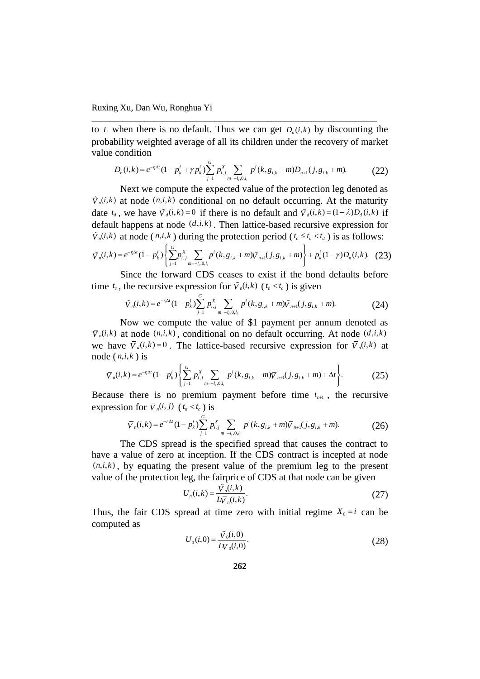to *L* when there is no default. Thus we can get  $D_n(i,k)$  by discounting the probability weighted average of all its children under the recovery of market<br>value condition<br> $D_n(i,k) = e^{-r_i \Delta t} (1 - p_k^i + \gamma p_k^i) \sum_{j=1}^G p_{i,j}^X \sum_{m=-l_i,0,l_i} p^i(k, g_{i,k} + m) D_{n+1}(j, g_{i,k} + m).$  (22) value condition

\_\_\_\_\_\_\_\_\_\_\_\_\_\_\_\_\_\_\_\_\_\_\_\_\_\_\_\_\_\_\_\_\_\_\_\_\_\_\_\_\_\_\_\_\_\_\_\_\_\_\_\_\_\_\_\_\_\_\_\_\_\_\_\_\_

condition  
\n
$$
D_n(i,k) = e^{-r_i\Delta t} (1 - p_k^i + \gamma p_k^i) \sum_{j=1}^G p_{i,j}^X \sum_{m=-l_i, 0, l_i} p^i(k, g_{i,k} + m) D_{n+1}(j, g_{i,k} + m). \tag{22}
$$

Next we compute the expected value of the protection leg denoted as  $\tilde{V}_n(i,k)$  at node  $(n,i,k)$  conditional on no default occurring. At the maturity date  $t_a$ , we have  $\tilde{V}_d(i,k) = 0$  if there is no default and  $\tilde{V}_d(i,k) = (1 - \lambda)D_d(i,k)$  if default happens at node  $(d, i, k)$ . Then lattice-based recursive expression for  $\tilde{v}_n(i, k)$  at node  $(n, i, k)$  during the protection period  $(t_c \le t_n \le t_d)$  is as follows:<br>  $\tilde{v}_n(i, k) = e^{-r_1 \Delta t} (1 - p_k^i) \left\{ \sum_{i=1}^c p_{i,i}^x \sum_{$  $\mathcal{L}_d$ , we have  $V_d(l,k) = 0$  if there is no detault and  $V_d(l,k) = (1 - \lambda)D_d(l,k)$  if<br>ault happens at node  $(d,i,k)$ . Then lattice-based recursive expression for<br> $\mathcal{L}_k$ ) at node  $(n,i,k)$  during the protection period  $(t_c \le t_n \le t_d)$ 

$$
\tilde{V}_n(i,k) \text{ at node } (n,i,k) \text{ during the protection period } (t_c \le t_n \le t_d) \text{ is as follows:}
$$
\n
$$
\tilde{V}_n(i,k) = e^{-r_1 \Delta t} (1 - p_k^i) \left\{ \sum_{j=1}^G p_{i,j}^X \sum_{m=-l_i,0,l_i} p^i(k, g_{i,k} + m) \tilde{V}_{n+1}(j, g_{i,k} + m) \right\} + p_k^i (1 - \gamma) D_n(i,k). \tag{23}
$$

Since the forward CDS ceases to exist if the bond defaults before<br>
the recursive expression for  $\tilde{V}_n(i,k)$  ( $t_n < t_c$ ) is given<br>  $\tilde{V}_n(i,k) = e^{-r_i\Delta t} (1 - p_k^i) \sum_{j=1}^G p_{i,j}^X \sum_{m=-t_i,0,l_i} p^i(k, g_{i,k} + m) \tilde{V}_{n+1}(j, g_{i,k} + m).$  (

time 
$$
t_c
$$
, the recursive expression for  $\tilde{V}_n(i,k)$   $(t_n < t_c)$  is given  
\n
$$
\tilde{V}_n(i,k) = e^{-r_i \Delta t} (1 - p_k^i) \sum_{j=1}^G p_{i,j}^X \sum_{m=-l_i,0,l_i} p^i(k, g_{i,k} + m) \tilde{V}_{n+1}(j, g_{i,k} + m). \tag{24}
$$

Now we compute the value of \$1 payment per annum denoted as  $\overline{V}_n(i,k)$  at node  $(n,i,k)$ , conditional on no default occurring. At node  $(d,i,k)$ node  $(n,i,k)$  is

we have 
$$
\overline{V}_d(i,k) = 0
$$
. The lattice-based recursive expression for  $\overline{V}_n(i,k)$  at node  $(n,i,k)$  is  
\n
$$
\overline{V}_n(i,k) = e^{-r_i\Delta t} (1 - p_k^i) \left\{ \sum_{j=1}^G p_{i,j}^X \sum_{m=-l_i,0,l_i} p^i(k, g_{i,k} + m) \overline{V}_{n+1}(j, g_{i,k} + m) + \Delta t \right\}.
$$
\n(25)

Because there is no premium payment before time  $t_{c+1}$ , the recursive<br>expression for  $\overline{V}_n(i, j)$   $(t_n < t_c)$  is<br> $\overline{V}_n(i,k) = e^{-r_i \Delta t} (1 - p_k^i) \sum_{j=1}^G p_{i,j}^X \sum_{m=-t_i,0,l_i} p^i(k, g_{i,k} + m) \overline{V}_{n+1}(j, g_{i,k} + m).$  (26)

expression for 
$$
\bar{V}_n(i, j)
$$
  $(t_n < t_c)$  is  
\n
$$
\bar{V}_n(i,k) = e^{-r_i \Delta t} (1 - p_k^i) \sum_{j=1}^G p_{i,j}^X \sum_{m=-l_i, 0, l_i} p^i(k, g_{i,k} + m) \bar{V}_{n+1}(j, g_{i,k} + m). \tag{26}
$$

The CDS spread is the specified spread that causes the contract to have a value of zero at inception. If the CDS contract is incepted at node  $(n,i,k)$ , by equating the present value of the premium leg to the present value of the protection leg, the fairprice of CDS at that node can be given

$$
U_n(i,k) = \frac{\tilde{V}_n(i,k)}{L\overline{V}_n(i,k)}.\tag{27}
$$

Thus, the fair CDS spread at time zero with initial regime  $X_0 = i$  can be computed as

$$
U_0(i,0) = \frac{\tilde{V}_0(i,0)}{L\bar{V}_0(i,0)}.
$$
\n(28)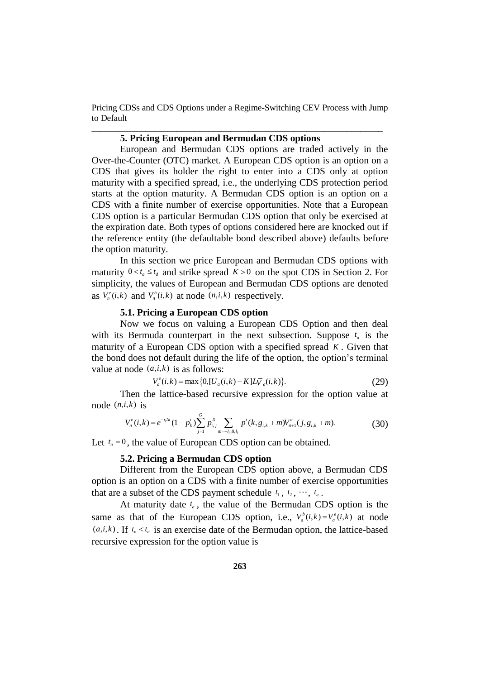# **5. Pricing European and Bermudan CDS options**

European and Bermudan CDS options are traded actively in the Over-the-Counter (OTC) market. A European CDS option is an option on a CDS that gives its holder the right to enter into a CDS only at option maturity with a specified spread, i.e., the underlying CDS protection period starts at the option maturity. A Bermudan CDS option is an option on a CDS with a finite number of exercise opportunities. Note that a European CDS option is a particular Bermudan CDS option that only be exercised at the expiration date. Both types of options considered here are knocked out if the reference entity (the defaultable bond described above) defaults before the option maturity.

In this section we price European and Bermudan CDS options with maturity  $0 \lt t_a \leq t_d$  and strike spread  $K > 0$  on the spot CDS in Section 2. For simplicity, the values of European and Bermudan CDS options are denoted as  $V_n^e(i,k)$  and  $V_n^b(i,k)$  at node  $(n,i,k)$  respectively.

# **5.1. Pricing a European CDS option**

Now we focus on valuing a European CDS Option and then deal with its Bermuda counterpart in the next subsection. Suppose  $t_a$  is the maturity of a European CDS option with a specified spread *K* . Given that the bond does not default during the life of the option, the option's terminal value at node  $(a,i,k)$  is as follows:<br> $V_a^e(i,k) = \max\{0, [U_a(i,k) - K]L\overline{V}_a(i,k)\}.$ 

$$
(a, i, k) \text{ is as follows:}
$$
\n
$$
V_a^e(i,k) = \max\{0, [U_a(i,k) - K]L\bar{V}_a(i,k)\}.
$$
\n(29)

node  $(n,i,k)$  is

Then the lattice-based recursive expression for the option value at 
$$
a_i, i, k
$$
 is\n
$$
V_n^{\epsilon}(i, k) = e^{-r_i \Delta t} (1 - p_k^i) \sum_{j=1}^G p_{i,j}^X \sum_{m=-l_i, 0, l_i} p^i(k, g_{i,k} + m) V_{n+1}^{\epsilon}(j, g_{i,k} + m). \tag{30}
$$

Let  $t_n = 0$ , the value of European CDS option can be obtained.

#### **5.2. Pricing a Bermudan CDS option**

Different from the European CDS option above, a Bermudan CDS option is an option on a CDS with a finite number of exercise opportunities that are a subset of the CDS payment schedule  $t_1, t_2, \dots, t_a$ .

At maturity date  $t_a$ , the value of the Bermudan CDS option is the same as that of the European CDS option, i.e.,  $V_a^b(i,k) = V_a^e(i,k)$  at node  $(a,i,k)$ . If  $t_n < t_a$  is an exercise date of the Bermudan option, the lattice-based recursive expression for the option value is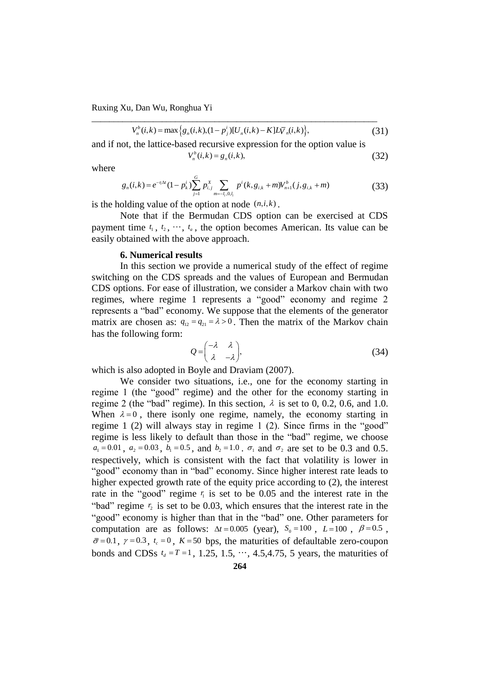$$
V_n^b(i,k) = \max\Big\{g_n(i,k), (1-p_j^i)[U_n(i,k) - K]L\bar{V}_n(i,k)\Big\},\tag{31}
$$

and if not, the lattice-based recursive expression for the option value is

\_\_\_\_\_\_\_\_\_\_\_\_\_\_\_\_\_\_\_\_\_\_\_\_\_\_\_\_\_\_\_\_\_\_\_\_\_\_\_\_\_\_\_\_\_\_\_\_\_\_\_\_\_\_\_\_\_\_\_\_\_\_\_\_\_

$$
V_n^b(i,k) = g_n(i,k),
$$
\n(32)

where

$$
V_n^b(i,k) = g_n(i,k),
$$
\n(32)  
\n
$$
g_n(i,k) = e^{-r_i\Delta t} (1 - p_k^i) \sum_{j=1}^G p_{i,j}^X \sum_{m=-l_i,0,l_i} p^i(k, g_{i,k} + m) V_{n+1}^b(j, g_{i,k} + m)
$$
\n(33)

is the holding value of the option at node  $(n,i,k)$ .

Note that if the Bermudan CDS option can be exercised at CDS payment time  $t_1, t_2, \dots, t_a$ , the option becomes American. Its value can be easily obtained with the above approach.

#### **6. Numerical results**

In this section we provide a numerical study of the effect of regime switching on the CDS spreads and the values of European and Bermudan CDS options. For ease of illustration, we consider a Markov chain with two regimes, where regime 1 represents a "good" economy and regime 2 represents a "bad" economy. We suppose that the elements of the generator matrix are chosen as:  $q_{12} = q_{21} = \lambda > 0$ . Then the matrix of the Markov chain has the following form:

$$
Q = \begin{pmatrix} -\lambda & \lambda \\ \lambda & -\lambda \end{pmatrix},\tag{34}
$$

which is also adopted in Boyle and Draviam (2007).

We consider two situations, i.e., one for the economy starting in regime 1 (the "good" regime) and the other for the economy starting in regime 2 (the "bad" regime). In this section,  $\lambda$  is set to 0, 0.2, 0.6, and 1.0. When  $\lambda = 0$ , there isonly one regime, namely, the economy starting in regime 1 (2) will always stay in regime 1 (2). Since firms in the "good" regime is less likely to default than those in the "bad" regime, we choose  $a_1 = 0.01$ ,  $a_2 = 0.03$ ,  $b_1 = 0.5$ , and  $b_2 = 1.0$ .  $\sigma_1$  and  $\sigma_2$  are set to be 0.3 and 0.5. respectively, which is consistent with the fact that volatility is lower in "good" economy than in "bad" economy. Since higher interest rate leads to higher expected growth rate of the equity price according to (2), the interest rate in the "good" regime  $r_i$  is set to be 0.05 and the interest rate in the "bad" regime  $r_2$  is set to be 0.03, which ensures that the interest rate in the "good" economy is higher than that in the "bad" one. Other parameters for computation are as follows:  $\Delta t = 0.005$  (year),  $S_0 = 100$ ,  $L = 100$ ,  $\beta = 0.5$ ,  $\bar{\sigma}$ =0.1,  $\gamma$  =0.3,  $t_c$  =0,  $K$  =50 bps, the maturities of defaultable zero-coupon bonds and CDSs  $t_d = T = 1, 1.25, 1.5, \dots, 4.5, 4.75, 5$  years, the maturities of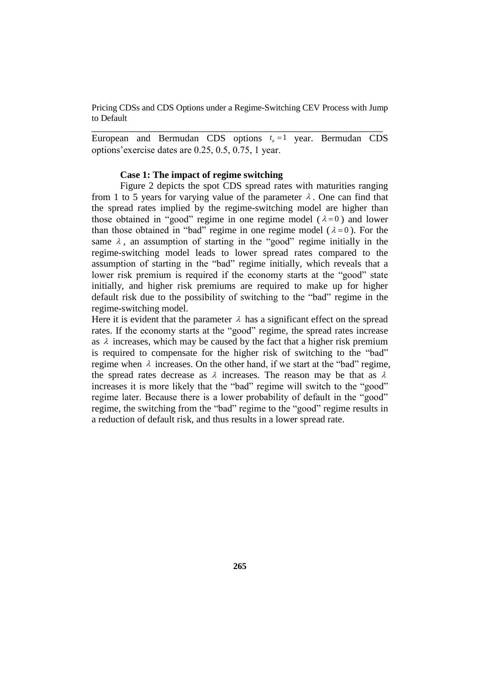European and Bermudan CDS options  $t_a = 1$  year. Bermudan CDS options'exercise dates are 0.25, 0.5, 0.75, 1 year.

\_\_\_\_\_\_\_\_\_\_\_\_\_\_\_\_\_\_\_\_\_\_\_\_\_\_\_\_\_\_\_\_\_\_\_\_\_\_\_\_\_\_\_\_\_\_\_\_\_\_\_\_\_\_\_\_\_\_\_\_\_\_\_\_\_

## **Case 1: The impact of regime switching**

Figure 2 depicts the spot CDS spread rates with maturities ranging from 1 to 5 years for varying value of the parameter  $\lambda$ . One can find that the spread rates implied by the regime-switching model are higher than those obtained in "good" regime in one regime model  $(\lambda=0)$  and lower than those obtained in "bad" regime in one regime model ( $\lambda = 0$ ). For the same  $\lambda$ , an assumption of starting in the "good" regime initially in the regime-switching model leads to lower spread rates compared to the assumption of starting in the "bad" regime initially, which reveals that a lower risk premium is required if the economy starts at the "good" state initially, and higher risk premiums are required to make up for higher default risk due to the possibility of switching to the "bad" regime in the regime-switching model.

Here it is evident that the parameter  $\lambda$  has a significant effect on the spread rates. If the economy starts at the "good" regime, the spread rates increase as  $\lambda$  increases, which may be caused by the fact that a higher risk premium is required to compensate for the higher risk of switching to the "bad" regime when  $\lambda$  increases. On the other hand, if we start at the "bad" regime, the spread rates decrease as  $\lambda$  increases. The reason may be that as  $\lambda$ increases it is more likely that the "bad" regime will switch to the "good" regime later. Because there is a lower probability of default in the "good" regime, the switching from the "bad" regime to the "good" regime results in a reduction of default risk, and thus results in a lower spread rate.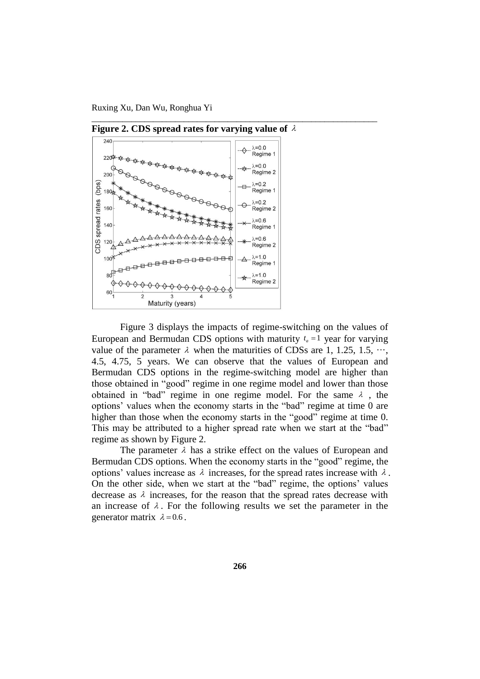

**Figure 2. CDS spread rates for varying value of**  $\lambda$ 

\_\_\_\_\_\_\_\_\_\_\_\_\_\_\_\_\_\_\_\_\_\_\_\_\_\_\_\_\_\_\_\_\_\_\_\_\_\_\_\_\_\_\_\_\_\_\_\_\_\_\_\_\_\_\_\_\_\_\_\_\_\_\_\_\_

Figure 3 displays the impacts of regime-switching on the values of European and Bermudan CDS options with maturity  $t_a = 1$  year for varying value of the parameter  $\lambda$  when the maturities of CDSs are 1, 1.25, 1.5,  $\cdots$ , 4.5, 4.75, 5 years. We can observe that the values of European and Bermudan CDS options in the regime-switching model are higher than those obtained in "good" regime in one regime model and lower than those obtained in "bad" regime in one regime model. For the same  $\lambda$ , the options' values when the economy starts in the "bad" regime at time 0 are higher than those when the economy starts in the "good" regime at time 0. This may be attributed to a higher spread rate when we start at the "bad" regime as shown by Figure 2.

The parameter  $\lambda$  has a strike effect on the values of European and Bermudan CDS options. When the economy starts in the "good" regime, the options' values increase as  $\lambda$  increases, for the spread rates increase with  $\lambda$ . On the other side, when we start at the "bad" regime, the options' values decrease as  $\lambda$  increases, for the reason that the spread rates decrease with an increase of  $\lambda$ . For the following results we set the parameter in the generator matrix  $\lambda = 0.6$ .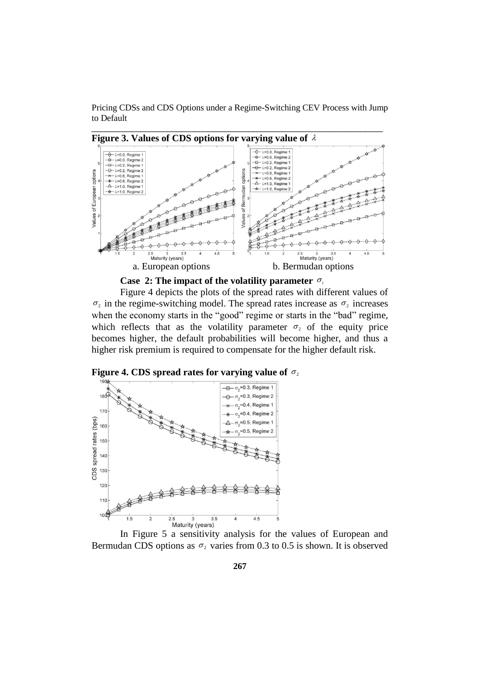

**Case 2: The impact of the volatility parameter**  $\sigma_i$ 

Figure 4 depicts the plots of the spread rates with different values of  $\sigma_2$  in the regime-switching model. The spread rates increase as  $\sigma_2$  increases when the economy starts in the "good" regime or starts in the "bad" regime, which reflects that as the volatility parameter  $\sigma_2$  of the equity price becomes higher, the default probabilities will become higher, and thus a higher risk premium is required to compensate for the higher default risk.

Figure 4. CDS spread rates for varying value of  $\sigma$ <sub>2</sub>



In Figure 5 a sensitivity analysis for the values of European and Bermudan CDS options as  $\sigma_2$  varies from 0.3 to 0.5 is shown. It is observed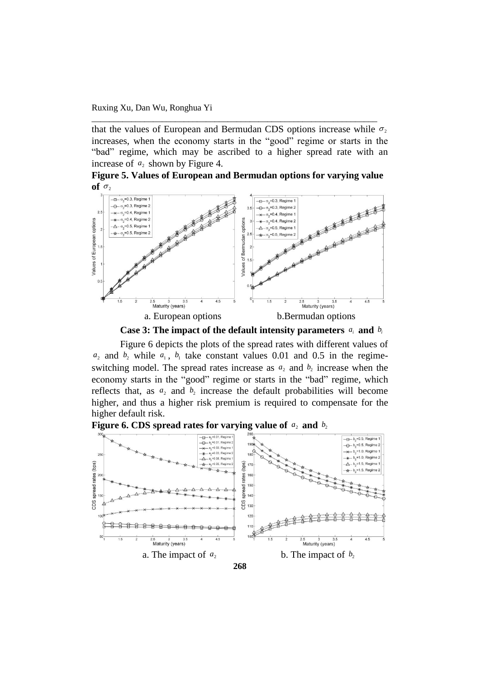that the values of European and Bermudan CDS options increase while  $\sigma_2$ increases, when the economy starts in the "good" regime or starts in the "bad" regime, which may be ascribed to a higher spread rate with an increase of  $a_2$  shown by Figure 4.

\_\_\_\_\_\_\_\_\_\_\_\_\_\_\_\_\_\_\_\_\_\_\_\_\_\_\_\_\_\_\_\_\_\_\_\_\_\_\_\_\_\_\_\_\_\_\_\_\_\_\_\_\_\_\_\_\_\_\_\_\_\_\_\_\_

**Figure 5. Values of European and Bermudan options for varying value**   $\mathbf{of} \ \sigma_2$ 





Figure 6 depicts the plots of the spread rates with different values of  $a_2$  and  $b_2$  while  $a_1$ ,  $b_1$  take constant values 0.01 and 0.5 in the regimeswitching model. The spread rates increase as  $a_2$  and  $b_2$  increase when the economy starts in the "good" regime or starts in the "bad" regime, which reflects that, as  $a_2$  and  $b_2$  increase the default probabilities will become higher, and thus a higher risk premium is required to compensate for the higher default risk.



Figure 6. CDS spread rates for varying value of  $a_2$  and  $b_2$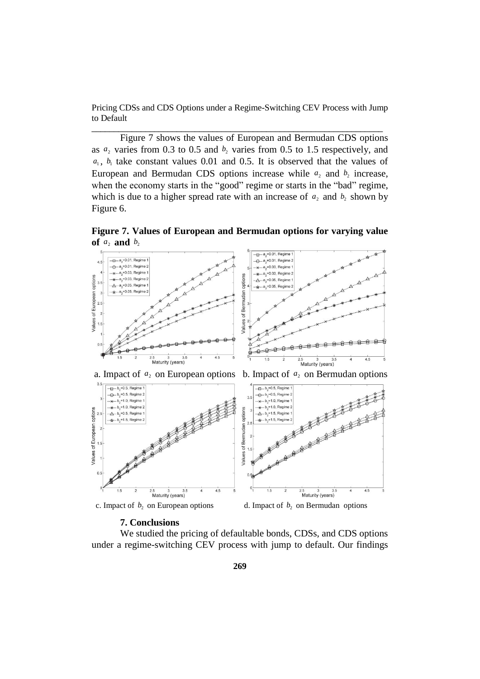Figure 7 shows the values of European and Bermudan CDS options as  $a_2$  varies from 0.3 to 0.5 and  $b_2$  varies from 0.5 to 1.5 respectively, and  $a_1$ ,  $b_1$  take constant values 0.01 and 0.5. It is observed that the values of European and Bermudan CDS options increase while  $a_2$  and  $b_2$  increase, when the economy starts in the "good" regime or starts in the "bad" regime, which is due to a higher spread rate with an increase of  $a_2$  and  $b_2$  shown by Figure 6.

**Figure 7. Values of European and Bermudan options for varying value of**  $a_2$  **and**  $b_2$ 



c. Impact of  $b_2$  on European options d. Impact of

2.5 3 3.<br>Maturity (years)

 $b_2$  on Bermudan options

2.5 3 3.<br>Maturity (years)

## **7. Conclusions**

 $0.5$ 

We studied the pricing of defaultable bonds, CDSs, and CDS options under a regime-switching CEV process with jump to default. Our findings

Values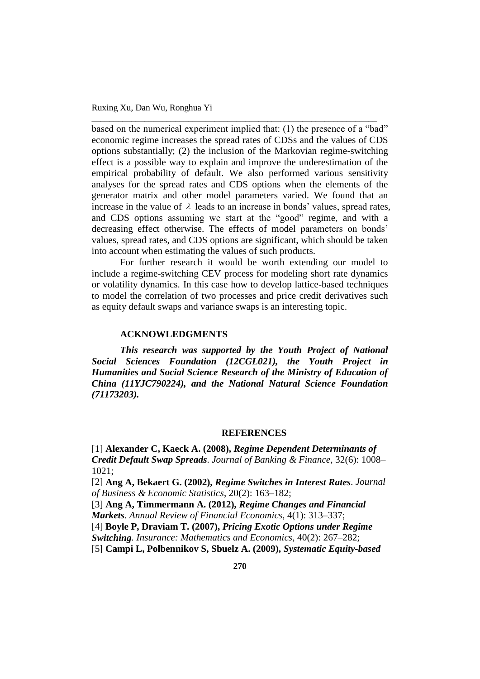based on the numerical experiment implied that: (1) the presence of a "bad" economic regime increases the spread rates of CDSs and the values of CDS options substantially; (2) the inclusion of the Markovian regime-switching effect is a possible way to explain and improve the underestimation of the empirical probability of default. We also performed various sensitivity analyses for the spread rates and CDS options when the elements of the generator matrix and other model parameters varied. We found that an increase in the value of  $\lambda$  leads to an increase in bonds' values, spread rates, and CDS options assuming we start at the "good" regime, and with a decreasing effect otherwise. The effects of model parameters on bonds' values, spread rates, and CDS options are significant, which should be taken into account when estimating the values of such products.

\_\_\_\_\_\_\_\_\_\_\_\_\_\_\_\_\_\_\_\_\_\_\_\_\_\_\_\_\_\_\_\_\_\_\_\_\_\_\_\_\_\_\_\_\_\_\_\_\_\_\_\_\_\_\_\_\_\_\_\_\_\_\_\_\_

For further research it would be worth extending our model to include a regime-switching CEV process for modeling short rate dynamics or volatility dynamics. In this case how to develop lattice-based techniques to model the correlation of two processes and price credit derivatives such as equity default swaps and variance swaps is an interesting topic.

#### **ACKNOWLEDGMENTS**

*This research was supported by the Youth Project of National Social Sciences Foundation (12CGL021), the Youth Project in Humanities and Social Science Research of the Ministry of Education of China (11YJC790224), and the National Natural Science Foundation (71173203).* 

#### **REFERENCES**

[1] **Alexander C, Kaeck A. (2008),** *Regime Dependent Determinants of Credit Default Swap Spreads*. *Journal of Banking & Finance*, 32(6): 1008– 1021;

[2] **Ang A, Bekaert G. (2002),** *Regime Switches in Interest Rates*. *Journal of Business & Economic Statistics*, 20(2): 163–182;

[3] **Ang A, Timmermann A. (2012),** *Regime Changes and Financial Markets. Annual Review of Financial Economics*, 4(1): 313–337;

[4] **Boyle P, Draviam T. (2007),** *Pricing Exotic Options under Regime* 

*Switching. Insurance: Mathematics and Economics*, 40(2): 267–282;

[5**] Campi L, Polbennikov S, Sbuelz A. (2009),** *Systematic Equity-based*